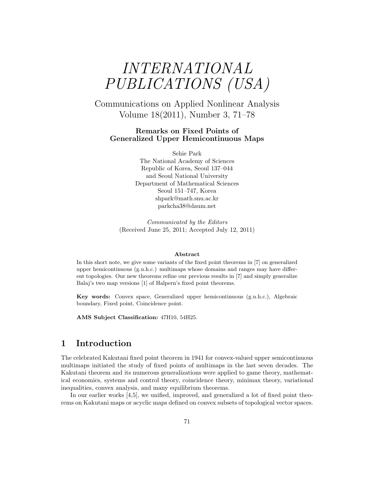# INTERNATIONAL PUBLICATIONS (USA)

Communications on Applied Nonlinear Analysis Volume 18(2011), Number 3, 71–78

#### Remarks on Fixed Points of Generalized Upper Hemicontinuous Maps

Sehie Park The National Academy of Sciences Republic of Korea, Seoul 137–044 and Seoul National University Department of Mathematical Sciences Seoul 151–747, Korea shpark@math.snu.ac.kr parkcha38@daum.net

Communicated by the Editors (Received June 25, 2011; Accepted July 12, 2011)

#### Abstract

In this short note, we give some variants of the fixed point theorems in [7] on generalized upper hemicontinuous (g.u.h.c.) multimaps whose domains and ranges may have different topologies. Our new theorems refine our previous results in [7] and simply generalize Balaj's two map versions [1] of Halpern's fixed point theorems.

Key words: Convex space, Generalized upper hemicontinuous (g.u.h.c.), Algebraic boundary, Fixed point, Coincidence point.

AMS Subject Classification: 47H10, 54H25.

### 1 Introduction

The celebrated Kakutani fixed point theorem in 1941 for convex-valued upper semicontinuous multimaps initiated the study of fixed points of multimaps in the last seven decades. The Kakutani theorem and its numerous generalizations were applied to game theory, mathematical economics, systems and control theory, coincidence theory, minimax theory, variational inequalities, convex analysis, and many equilibrium theorems.

In our earlier works [4,5], we unified, improved, and generalized a lot of fixed point theorems on Kakutani maps or acyclic maps defined on convex subsets of topological vector spaces.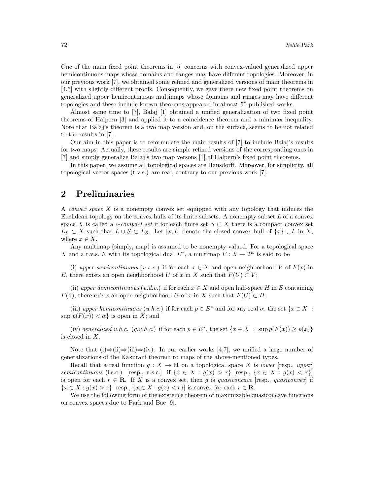One of the main fixed point theorems in [5] concerns with convex-valued generalized upper hemicontinuous maps whose domains and ranges may have different topologies. Moreover, in our previous work [7], we obtained some refined and generalized versions of main theorems in [4,5] with slightly different proofs. Consequently, we gave there new fixed point theorems on generalized upper hemicontinuous multimaps whose domains and ranges may have different topologies and these include known theorems appeared in almost 50 published works.

Almost same time to [7], Balaj [1] obtained a unified generalization of two fixed point theorems of Halpern [3] and applied it to a coincidence theorem and a minimax inequality. Note that Balaj's theorem is a two map version and, on the surface, seems to be not related to the results in [7].

Our aim in this paper is to reformulate the main results of [7] to include Balaj's results for two maps. Actually, these results are simple refined versions of the corresponding ones in [7] and simply generalize Balaj's two map versons [1] of Halpern's fixed point theorems.

In this paper, we assume all topological spaces are Hausdorff. Moreover, for simplicity, all topological vector spaces (t.v.s.) are real, contrary to our previous work [7].

#### 2 Preliminaries

A *convex space*  $X$  is a nonempty convex set equipped with any topology that induces the Euclidean topology on the convex hulls of its finite subsets. A nonempty subset  $L$  of a convex space X is called a *c-compact set* if for each finite set  $S \subset X$  there is a compact convex set  $L_S \subset X$  such that  $L \cup S \subset L_S$ . Let  $[x, L]$  denote the closed convex hull of  $\{x\} \cup L$  in X, where  $x \in X$ .

Any multimap (simply, map) is assumed to be nonempty valued. For a topological space X and a t.v.s. E with its topological dual  $E^*$ , a multimap  $F: X \to 2^E$  is said to be

(i) upper semicontinuous (u.s.c.) if for each  $x \in X$  and open neighborhood V of  $F(x)$  in E, there exists an open neighborhood U of x in X such that  $F(U) \subset V$ ;

(ii) upper demicontinuous (u.d.c.) if for each  $x \in X$  and open half-space H in E containing  $F(x)$ , there exists an open neighborhood U of x in X such that  $F(U) \subset H$ ;

(iii) upper hemicontinuous (u.h.c.) if for each  $p \in E^*$  and for any real  $\alpha$ , the set  $\{x \in X :$  $\sup p(F(x)) < \alpha$  is open in X; and

(iv) generalized u.h.c.  $(g.u.h.c.)$  if for each  $p \in E^*$ , the set  $\{x \in X : \sup p(F(x)) \geq p(x)\}\$ is closed in X.

Note that  $(i) \Rightarrow (ii) \Rightarrow (iii) \Rightarrow (iv)$ . In our earlier works [4,7], we unified a large number of generalizations of the Kakutani theorem to maps of the above-mentioned types.

Recall that a real function  $q: X \to \mathbf{R}$  on a topological space X is lower [resp., upper] semicontinuous (l.s.c.) [resp., u.s.c.] if  $\{x \in X : g(x) > r\}$  [resp.,  $\{x \in X : g(x) < r\}$ ] is open for each  $r \in \mathbf{R}$ . If X is a convex set, then g is quasiconcave [resp., quasiconvex] if  ${x \in X : g(x) > r}$  [resp.,  ${x \in X : g(x) < r}$ ] is convex for each  $r \in \mathbb{R}$ .

We use the following form of the existence theorem of maximizable quasiconcave functions on convex spaces due to Park and Bae [9].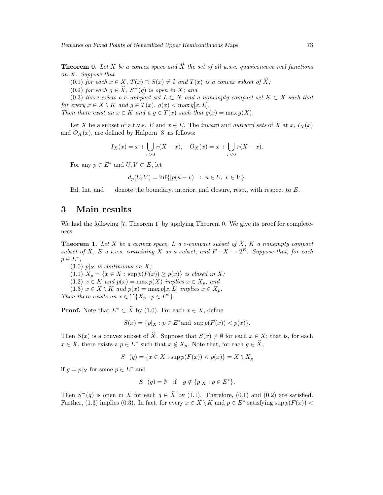**Theorem 0.** Let X be a convex space and  $\widehat{X}$  the set of all u.s.c. quasiconcave real functions on X. Suppose that

- (0.1) for each  $x \in X$ ,  $T(x) \supset S(x) \neq \emptyset$  and  $T(x)$  is a convex subset of  $\widehat{X}$ ;
- $(0.2)$  for each  $g \in \widehat{X}$ ,  $S^-(g)$  is open in X; and

(0.3) there exists a c-compact set  $L \subset X$  and a nonempty compact set  $K \subset X$  such that for every  $x \in X \setminus K$  and  $g \in T(x)$ ,  $g(x) < \max g[x, L]$ .

Then there exist an  $\overline{x} \in K$  and  $a \circ g \in T(\overline{x})$  such that  $g(\overline{x}) = \max g(X)$ .

Let X be a subset of a t.v.s. E and  $x \in E$ . The inward and outward sets of X at x,  $I_X(x)$ and  $O_X(x)$ , are defined by Halpern [3] as follows:

$$
I_X(x) = x + \bigcup_{r>0} r(X - x), \quad O_X(x) = x + \bigcup_{r<0} r(X - x).
$$

For any  $p \in E^*$  and  $U, V \subset E$ , let

$$
d_p(U, V) = \inf\{|p(u - v)| \ : \ u \in U, \ v \in V\}.
$$

Bd. Int. and  $\overline{\phantom{a}}$  denote the boundary, interior, and closure, resp., with respect to E.

#### 3 Main results

We had the following [7, Theorem 1] by applying Theorem 0. We give its proof for completeness.

**Theorem 1.** Let  $X$  be a convex space,  $L$  a c-compact subset of  $X$ ,  $K$  a nonempty compact subset of X, E a t.v.s. containing X as a subset, and  $F: X \to 2^E$ . Suppose that, for each  $p \in E^*,$ 

 $(1.0)$   $p|_X$  is continuous on X;

(1.1)  $X_p = \{x \in X : \sup p(F(x)) \ge p(x)\}\$ is closed in X;

(1.2)  $x \in K$  and  $p(x) = \max p(X)$  implies  $x \in X_p$ ; and

(1.3)  $x \in X \setminus K$  and  $p(x) = \max p[x, L]$  implies  $x \in X_p$ . Then there exists an  $x \in \bigcap \{X_p : p \in E^*\}.$ 

**Proof.** Note that  $E^* \subset \widehat{X}$  by (1.0). For each  $x \in X$ , define

$$
S(x) = \{ p | x : p \in E^* \text{and } \sup p(F(x)) < p(x) \}.
$$

Then  $S(x)$  is a convex subset of  $\hat{X}$ . Suppose that  $S(x) \neq \emptyset$  for each  $x \in X$ ; that is, for each  $x \in X$ , there exists a  $p \in E^*$  such that  $x \notin X_p$ . Note that, for each  $g \in \widehat{X}$ ,

$$
S^{-}(g) = \{ x \in X : \sup p(F(x)) < p(x) \} = X \setminus X_p
$$

if  $g = p|_X$  for some  $p \in E^*$  and

$$
S^-(g) = \emptyset \quad \text{if} \quad g \notin \{p|_X : p \in E^*\}.
$$

Then  $S^-(g)$  is open in X for each  $g \in \hat{X}$  by (1.1). Therefore, (0.1) and (0.2) are satisfied. Further, (1.3) implies (0.3). In fact, for every  $x \in X \setminus K$  and  $p \in E^*$  satisfying sup  $p(F(x))$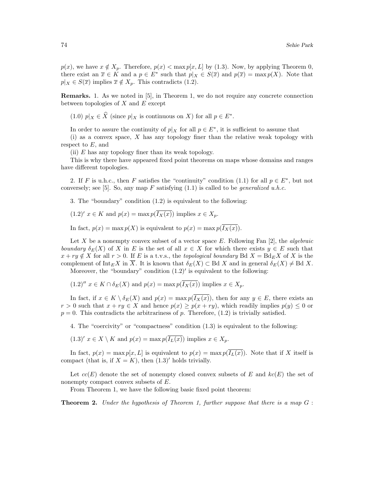$p(x)$ , we have  $x \notin X_p$ . Therefore,  $p(x) < \max p[x, L]$  by (1.3). Now, by applying Theorem 0, there exist an  $\overline{x} \in K$  and a  $p \in E^*$  such that  $p|_X \in S(\overline{x})$  and  $p(\overline{x}) = \max p(X)$ . Note that  $p|_X \in S(\overline{x})$  implies  $\overline{x} \notin X_p$ . This contradicts (1.2).

Remarks. 1. As we noted in [5], in Theorem 1, we do not require any concrete connection between topologies of  $X$  and  $E$  except

(1.0)  $p|_X \in \widehat{X}$  (since  $p|_X$  is continuous on X) for all  $p \in E^*$ .

In order to assure the continuity of  $p|_X$  for all  $p \in E^*$ , it is sufficient to assume that

(i) as a convex space, X has any topology finer than the relative weak topology with respect to  $E$ , and

(ii) E has any topology finer than its weak topology.

This is why there have appeared fixed point theorems on maps whose domains and ranges have different topologies.

2. If F is u.h.c., then F satisfies the "continuity" condition (1.1) for all  $p \in E^*$ , but not conversely; see [5]. So, any map F satisfying  $(1.1)$  is called to be *generalized u.h.c.* 

3. The "boundary" condition (1.2) is equivalent to the following:

$$
(1.2)' x \in K
$$
 and  $p(x) = \max p(\overline{I_X(x)})$  implies  $x \in X_p$ .

In fact,  $p(x) = \max p(X)$  is equivalent to  $p(x) = \max p(\overline{I_X(x)})$ .

Let X be a nonempty convex subset of a vector space E. Following Fan  $[2]$ , the *algebraic* boundary  $\delta_E(X)$  of X in E is the set of all  $x \in X$  for which there exists  $y \in E$  such that  $x + ry \notin X$  for all  $r > 0$ . If E is a t.v.s., the topological boundary Bd  $X = Bd_E X$  of X is the complement of Int<sub>E</sub>X in  $\overline{X}$ . It is known that  $\delta_E(X) \subset \text{Bd } X$  and in general  $\delta_E(X) \neq \text{Bd } X$ .

Moreover, the "boundary" condition  $(1.2)'$  is equivalent to the following:

 $(1.2)''$   $x \in K \cap \delta_E(X)$  and  $p(x) = \max p(\overline{I_X(x)})$  implies  $x \in X_p$ .

In fact, if  $x \in K \setminus \delta_F(X)$  and  $p(x) = \max p(\overline{I_X(x)})$ , then for any  $y \in E$ , there exists an  $r > 0$  such that  $x + ry \in X$  and hence  $p(x) \geq p(x + ry)$ , which readily implies  $p(y) \leq 0$  or  $p = 0$ . This contradicts the arbitrariness of p. Therefore, (1.2) is trivially satisfied.

4. The "coercivity" or "compactness" condition (1.3) is equivalent to the following:

$$
(1.3)' x \in X \setminus K
$$
 and  $p(x) = \max p(\overline{I_L(x)})$  implies  $x \in X_p$ .

In fact,  $p(x) = \max p[x, L]$  is equivalent to  $p(x) = \max p(\overline{I_L(x)})$ . Note that if X itself is compact (that is, if  $X = K$ ), then  $(1.3)'$  holds trivially.

Let  $cc(E)$  denote the set of nonempty closed convex subsets of E and  $kc(E)$  the set of nonempty compact convex subsets of E.

From Theorem 1, we have the following basic fixed point theorem:

**Theorem 2.** Under the hypothesis of Theorem 1, further suppose that there is a map  $G$ :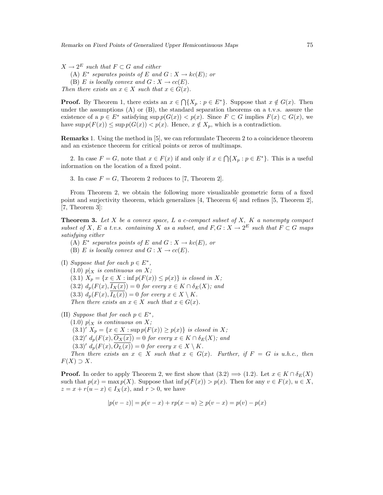$X \to 2^E$  such that  $F \subset G$  and either (A)  $E^*$  separates points of E and  $G: X \to kc(E)$ ; or (B) E is locally convex and  $G: X \to cc(E)$ . Then there exists an  $x \in X$  such that  $x \in G(x)$ .

**Proof.** By Theorem 1, there exists an  $x \in \bigcap \{X_p : p \in E^*\}$ . Suppose that  $x \notin G(x)$ . Then under the assumptions  $(A)$  or  $(B)$ , the standard separation theorems on a t.v.s. assure the existence of a  $p \in E^*$  satisfying sup  $p(G(x)) < p(x)$ . Since  $F \subset G$  implies  $F(x) \subset G(x)$ , we have  $\sup p(F(x)) \leq \sup p(G(x)) < p(x)$ . Hence,  $x \notin X_p$ , which is a contradiction.

Remarks 1. Using the method in [5], we can reformulate Theorem 2 to a coincidence theorem and an existence theorem for critical points or zeros of multimaps.

2. In case  $F = G$ , note that  $x \in F(x)$  if and only if  $x \in \bigcap \{X_p : p \in E^*\}$ . This is a useful information on the location of a fixed point.

3. In case  $F = G$ , Theorem 2 reduces to [7, Theorem 2].

From Theorem 2, we obtain the following more visualizable geometric form of a fixed point and surjectivity theorem, which generalizes [4, Theorem 6] and refines [5, Theorem 2], [7, Theorem 3]:

**Theorem 3.** Let  $X$  be a convex space, L a c-compact subset of  $X$ ,  $K$  a nonempty compact subset of X, E a t.v.s. containing X as a subset, and  $F, G: X \to 2^E$  such that  $F \subset G$  maps satisfying either

(A)  $E^*$  separates points of E and  $G: X \to kc(E)$ , or (B) E is locally convex and  $G: X \to cc(E)$ .

- (I) Suppose that for each  $p \in E^*$ ,  $(1.0)$   $p|_X$  is continuous on X; (3.1)  $X_p = \{x \in X : \inf p(F(x)) \leq p(x)\}\$ is closed in X; (3.2)  $d_p(F(x), \overline{I_X(x)}) = 0$  for every  $x \in K \cap \delta_E(X)$ ; and (3.3)  $d_p(F(x), I_L(x)) = 0$  for every  $x \in X \setminus K$ . Then there exists an  $x \in X$  such that  $x \in G(x)$ .
- (II) Suppose that for each  $p \in E^*$ ,  $(1.0)$   $p|_X$  is continuous on X; (3.1)'  $X_p = \{x \in X : \sup p(F(x)) \ge p(x)\}$  is closed in X;  $(3.2)' d_p(F(x), \overline{O_X(x)}) = 0$  for every  $x \in K \cap \delta_E(X)$ ; and  $(3.3)' d_p(F(x), \overline{O_L(x)}) = 0$  for every  $x \in X \setminus K$ . Then there exists an  $x \in X$  such that  $x \in G(x)$ . Further, if  $F = G$  is u.h.c., then  $F(X) \supset X$ .

**Proof.** In order to apply Theorem 2, we first show that  $(3.2) \implies (1.2)$ . Let  $x \in K \cap \delta_E(X)$ such that  $p(x) = \max p(X)$ . Suppose that  $\inf p(F(x)) > p(x)$ . Then for any  $v \in F(x)$ ,  $u \in X$ ,  $z = x + r(u - x) \in I_X(x)$ , and  $r > 0$ , we have

$$
|p(v - z)| = p(v - x) + rp(x - u) \ge p(v - x) = p(v) - p(x)
$$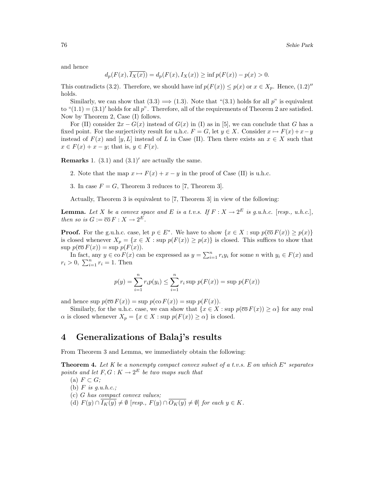and hence

$$
d_p(F(x), \overline{I_X(x)}) = d_p(F(x), I_X(x)) \ge \inf p(F(x)) - p(x) > 0.
$$

This contradicts (3.2). Therefore, we should have inf  $p(F(x)) \leq p(x)$  or  $x \in X_p$ . Hence, (1.2)'' holds.

Similarly, we can show that  $(3.3) \Longrightarrow (1.3)$ . Note that " $(3.1)$  holds for all p" is equivalent to " $(1.1) = (3.1)'$  holds for all p". Therefore, all of the requirements of Theorem 2 are satisfied. Now by Theorem 2, Case (I) follows.

For (II) consider  $2x - G(x)$  instead of  $G(x)$  in (I) as in [5], we can conclude that G has a fixed point. For the surjectivity result for u.h.c.  $F = G$ , let  $y \in X$ . Consider  $x \mapsto F(x) + x - y$ instead of  $F(x)$  and [y, L] instead of L in Case (II). Then there exists an  $x \in X$  such that  $x \in F(x) + x - y$ ; that is,  $y \in F(x)$ .

**Remarks** 1.  $(3.1)$  and  $(3.1)'$  are actually the same.

- 2. Note that the map  $x \mapsto F(x) + x y$  in the proof of Case (II) is u.h.c.
- 3. In case  $F = G$ , Theorem 3 reduces to [7, Theorem 3].

Actually, Theorem 3 is equivalent to [7, Theorem 3] in view of the following:

**Lemma.** Let X be a convex space and E is a t.v.s. If  $F: X \to 2^E$  is g.u.h.c. [resp., u.h.c.], then so is  $G := \overline{\text{co}} F : X \to 2^E$ .

**Proof.** For the g.u.h.c. case, let  $p \in E^*$ . We have to show  $\{x \in X : \sup p(\overline{\text{co}} F(x)) \geq p(x)\}\$ is closed whenever  $X_p = \{x \in X : \text{sup } p(F(x)) \geq p(x)\}\$ is closed. This suffices to show that  $\sup p(\overline{\text{co}} F(x)) = \sup p(F(x)).$ 

 $p(\text{co } F(x)) = \sup p(F(x))$ .<br>In fact, any  $y \in \text{co } F(x)$  can be expressed as  $y = \sum_{i=1}^{n} r_i y_i$  for some *n* with  $y_i \in F(x)$  and  $r_i > 0, \sum_{i=1}^n r_i = 1.$  Then

$$
p(y) = \sum_{i=1}^{n} r_i p(y_i) \le \sum_{i=1}^{n} r_i \sup p(F(x)) = \sup p(F(x))
$$

and hence sup  $p(\overline{co} F(x)) = \sup p(\overline{co} F(x)) = \sup p(F(x)).$ 

Similarly, for the u.h.c. case, we can show that  $\{x \in X : \sup p(\overline{\text{co}} F(x)) \geq \alpha\}$  for any real  $\alpha$  is closed whenever  $X_p = \{x \in X : \text{sup } p(F(x)) \geq \alpha\}$  is closed.

### 4 Generalizations of Balaj's results

From Theorem 3 and Lemma, we immediately obtain the following:

**Theorem 4.** Let K be a nonempty compact convex subset of a t.v.s. E on which  $E^*$  separates points and let  $F, G: K \to 2^E$  be two maps such that

(a)  $F \subset G$ ;

(b)  $F$  is  $g.u.h.c.;$ 

- (c) G has compact convex values;
- (d)  $F(y) \cap \overline{I_K(y)} \neq \emptyset$  [resp.,  $F(y) \cap \overline{O_K(y)} \neq \emptyset$ ] for each  $y \in K$ .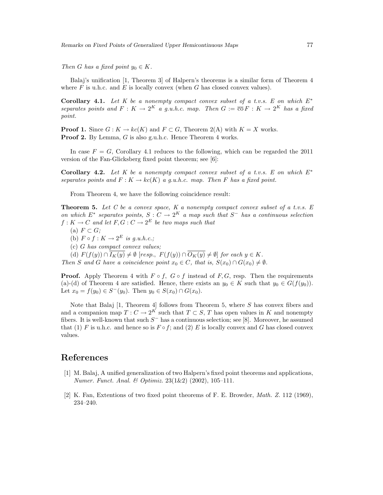Remarks on Fixed Points of Generalized Upper Hemicontinuous Maps 77

Then G has a fixed point  $y_0 \in K$ .

Balaj's unification [1, Theorem 3] of Halpern's theorems is a similar form of Theorem 4 where  $F$  is u.h.c. and  $E$  is locally convex (when  $G$  has closed convex values).

**Corollary 4.1.** Let K be a nonempty compact convex subset of a t.v.s. E on which  $E^*$ separates points and  $F: K \to 2^K$  a g.u.h.c. map. Then  $G := \overline{co} F: K \to 2^K$  has a fixed point.

**Proof 1.** Since  $G: K \to kc(K)$  and  $F \subset G$ , Theorem 2(A) with  $K = X$  works. **Proof 2.** By Lemma,  $G$  is also g.u.h.c. Hence Theorem 4 works.

In case  $F = G$ , Corollary 4.1 reduces to the following, which can be regarded the 2011 version of the Fan-Glicksberg fixed point theorem; see [6]:

Corollary 4.2. Let K be a nonempty compact convex subset of a t.v.s. E on which  $E^*$ separates points and  $F: K \to kc(K)$  a g.u.h.c. map. Then F has a fixed point.

From Theorem 4, we have the following coincidence result:

**Theorem 5.** Let C be a convex space, K a nonempty compact convex subset of a t.v.s. E on which  $E^*$  separates points,  $S: C \to 2^K$  a map such that  $S^-$  has a continuous selection  $f: K \to C$  and let  $F, G: C \to 2^E$  be two maps such that

- (a)  $F \subset G$ ;
- (b)  $F \circ f : K \to 2^E$  is g.u.h.c.;
- (c) G has compact convex values;
- (d)  $F(f(y)) \cap \overline{I_K(y)} \neq \emptyset$  [resp.,  $F(f(y)) \cap \overline{O_K(y)} \neq \emptyset$ ] for each  $y \in K$ .

Then S and G have a coincidence point  $x_0 \in C$ , that is,  $S(x_0) \cap G(x_0) \neq \emptyset$ .

**Proof.** Apply Theorem 4 with  $F \circ f$ ,  $G \circ f$  instead of  $F$ ,  $G$ , resp. Then the requirements (a)-(d) of Theorem 4 are satisfied. Hence, there exists an  $y_0 \in K$  such that  $y_0 \in G(f(y_0))$ . Let  $x_0 = f(y_0) \in S^-(y_0)$ . Then  $y_0 \in S(x_0) \cap G(x_0)$ .

Note that Balaj  $[1,$  Theorem 4 follows from Theorem 5, where  $S$  has convex fibers and and a companion map  $T: C \to 2^K$  such that  $T \subset S$ , T has open values in K and nonempty fibers. It is well-known that such  $S^-$  has a continuous selection; see [8]. Moreover, he assumed that (1) F is u.h.c. and hence so is  $F \circ f$ ; and (2) E is locally convex and G has closed convex values.

## References

- [1] M. Balaj, A unified generalization of two Halpern's fixed point theorems and applications, Numer. Funct. Anal. & Optimiz. 23(1&2) (2002), 105–111.
- [2] K. Fan, Extentions of two fixed point theorems of F. E. Browder, Math. Z. 112 (1969), 234–240.